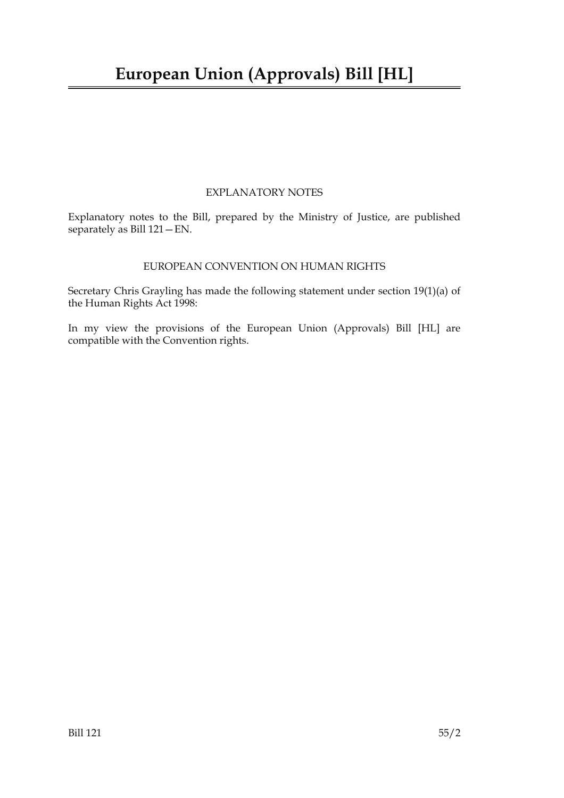## EXPLANATORY NOTES

Explanatory notes to the Bill, prepared by the Ministry of Justice, are published separately as Bill 121—EN.

### EUROPEAN CONVENTION ON HUMAN RIGHTS

Secretary Chris Grayling has made the following statement under section 19(1)(a) of the Human Rights Act 1998:

In my view the provisions of the European Union (Approvals) Bill [HL] are compatible with the Convention rights.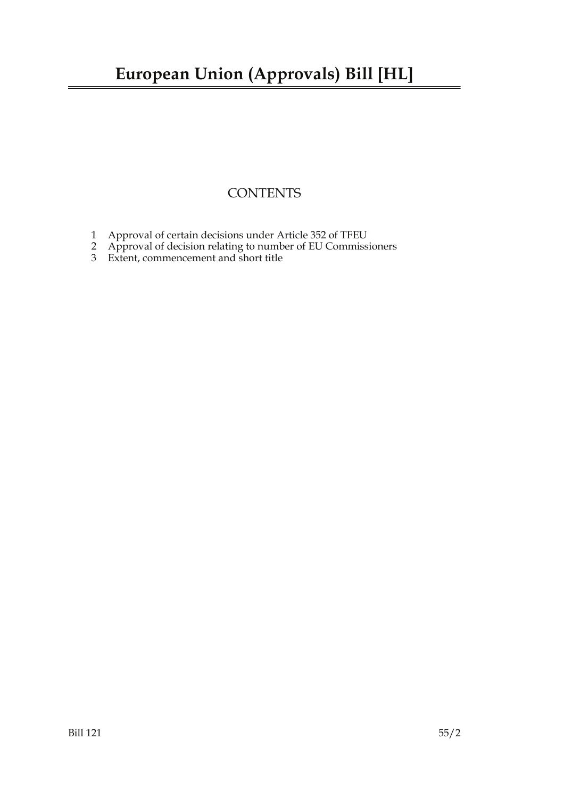# **CONTENTS**

- 1 Approval of certain decisions under Article 352 of TFEU
- 2 Approval of decision relating to number of EU Commissioners
- 3 Extent, commencement and short title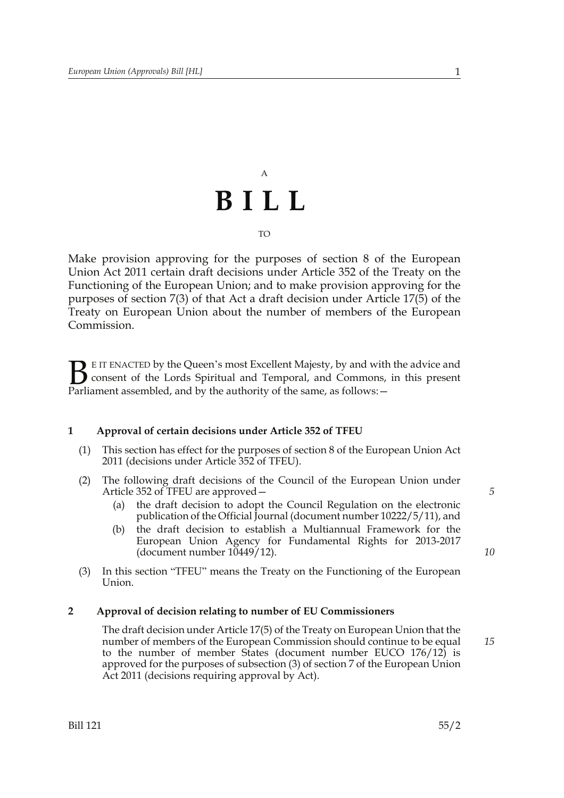# A **BILL**

#### TO

Make provision approving for the purposes of section 8 of the European Union Act 2011 certain draft decisions under Article 352 of the Treaty on the Functioning of the European Union; and to make provision approving for the purposes of section 7(3) of that Act a draft decision under Article 17(5) of the Treaty on European Union about the number of members of the European Commission.

E IT ENACTED by the Queen's most Excellent Majesty, by and with the advice and consent of the Lords Spiritual and Temporal, and Commons, in this present Parliament assembled, and by the authority of the same, as follows:  $B_{\text{p}}$ 

#### **1 Approval of certain decisions under Article 352 of TFEU**

- (1) This section has effect for the purposes of section 8 of the European Union Act 2011 (decisions under Article 352 of TFEU).
- (2) The following draft decisions of the Council of the European Union under Article 352 of TFEU are approved—
	- (a) the draft decision to adopt the Council Regulation on the electronic publication of the Official Journal (document number 10222/5/11), and
	- (b) the draft decision to establish a Multiannual Framework for the European Union Agency for Fundamental Rights for 2013-2017 (document number 10449/12).
- (3) In this section "TFEU" means the Treaty on the Functioning of the European Union.

#### **2 Approval of decision relating to number of EU Commissioners**

The draft decision under Article 17(5) of the Treaty on European Union that the number of members of the European Commission should continue to be equal to the number of member States (document number EUCO 176/12) is approved for the purposes of subsection (3) of section 7 of the European Union Act 2011 (decisions requiring approval by Act).

*5*

*10*

*15*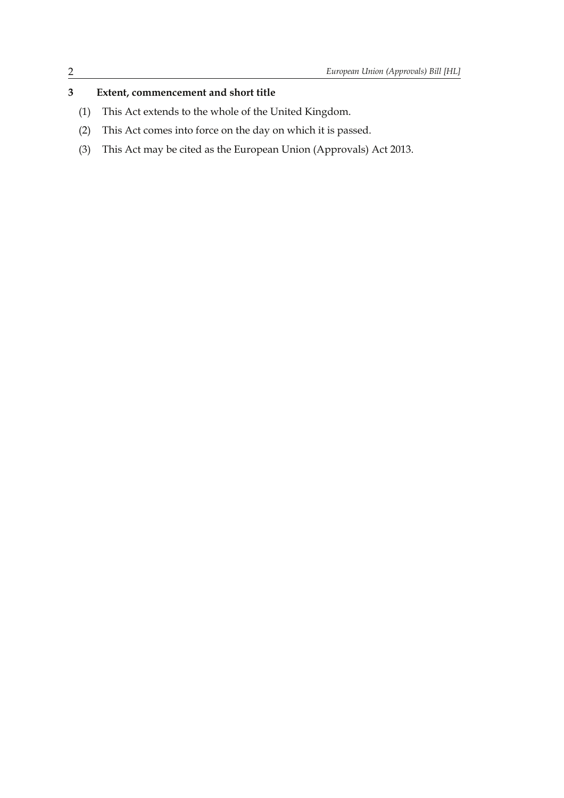# **3 Extent, commencement and short title**

- (1) This Act extends to the whole of the United Kingdom.
- (2) This Act comes into force on the day on which it is passed.
- (3) This Act may be cited as the European Union (Approvals) Act 2013.